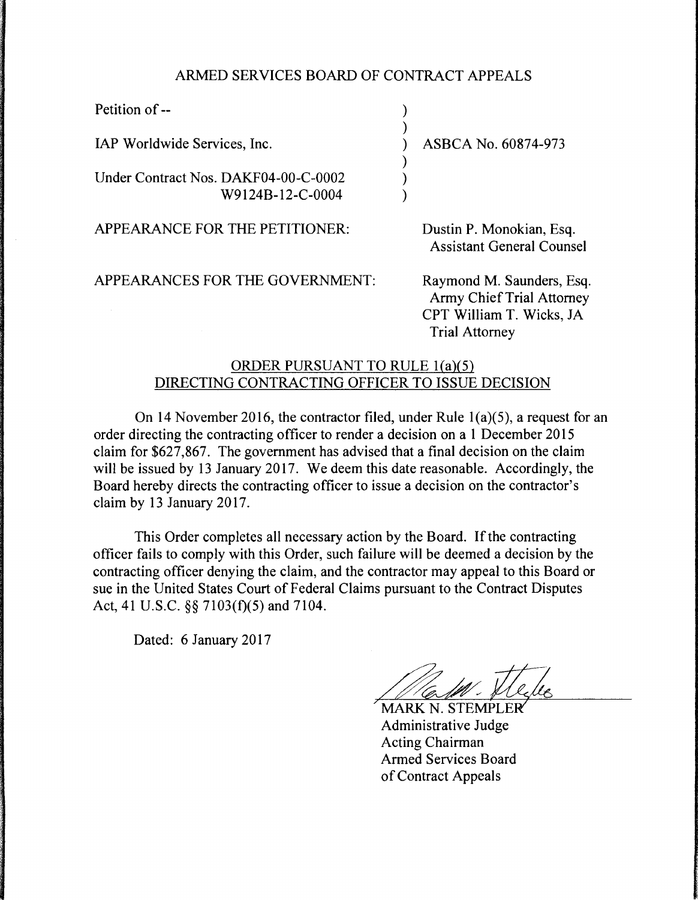## ARMED SERVICES BOARD OF CONTRACT APPEALS

) )

) ) )

IAP Worldwide Services, Inc.

Under Contract Nos. DAKF04-00-C-0002 W9124B-12-C-0004

) ASBCA No. 60874-973

APPEARANCE FOR THE PETITIONER:

APPEARANCES FOR THE GOVERNMENT: Raymond M. Saunders, Esq.

Dustin P. Monokian, Esq. Assistant General Counsel

Army Chief Trial Attorney CPT William T. Wicks, JA Trial Attorney

## ORDER PURSUANT TO RULE l(a)(5) DIRECTING CONTRACTING OFFICER TO ISSUE DECISION

On 14 November 2016, the contractor filed, under Rule l(a)(5), a request for an order directing the contracting officer to render a decision on a 1 December 2015 claim for \$627 ,867. The government has advised that a final decision on the claim will be issued by 13 January 2017. We deem this date reasonable. Accordingly, the Board hereby directs the contracting officer to issue a decision on the contractor's claim by 13 January 2017.

This Order completes all necessary action by the Board. If the contracting officer fails to comply with this Order, such failure will be deemed a decision by the contracting officer denying the claim, and the contractor may appeal to this Board or sue in the United States Court of Federal Claims pursuant to the Contract Disputes Act, 41 U.S.C. §§ 7103(f)(5) and 7104.

Dated: 6 January 2017

*7*

**MARK N. STEMPLER** Administrative Judge Acting Chairman Armed Services Board of Contract Appeals